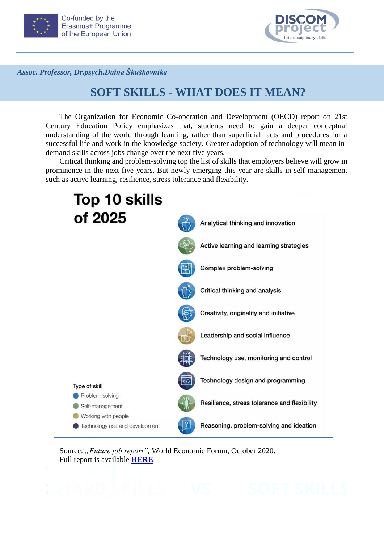



*Assoc. Professor, Dr.psych.Daina Škuškovnika*

# **SOFT SKILLS - WHAT DOES IT MEAN?**

The Organization for Economic Co-operation and Development (OECD) report on 21st Century Education Policy emphasizes that, students need to gain a deeper conceptual understanding of the world through learning, rather than superficial facts and procedures for a successful life and work in the knowledge society. Greater adoption of technology will mean indemand skills across jobs change over the next five years.

Critical thinking and problem-solving top the list of skills that employers believe will grow in prominence in the next five years. But newly emerging this year are skills in self-management such as active learning, resilience, stress tolerance and flexibility.



Source: "Future job report", World Economic Forum, October 2020. Full report is available **[HERE](https://www.weforum.org/reports/the-future-of-jobs-report-2020/in-full/infographics-e4e69e4de7)**

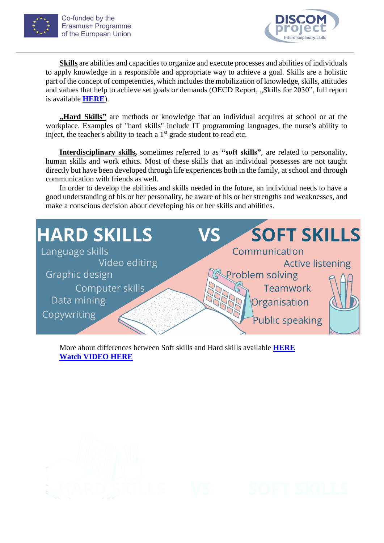



**Skills** are abilities and capacities to organize and execute processes and abilities of individuals to apply knowledge in a responsible and appropriate way to achieve a goal. Skills are a holistic part of the concept of competencies, which includes the mobilization of knowledge, skills, attitudes and values that help to achieve set goals or demands (OECD Report, ... Skills for 2030", full report is available **[HERE](https://www.oecd.org/education/2030-project/teaching-and-learning/learning/skills/Skills_for_2030_concept_note.pdf)**).

**"Hard Skills"** are methods or knowledge that an individual acquires at school or at the workplace. Examples of "hard skills" include IT programming languages, the nurse's ability to inject, the teacher's ability to teach a  $1<sup>st</sup>$  grade student to read etc.

**Interdisciplinary skills,** sometimes referred to as **"soft skills"**, are related to personality, human skills and work ethics. Most of these skills that an individual possesses are not taught directly but have been developed through life experiences both in the family, at school and through communication with friends as well.

In order to develop the abilities and skills needed in the future, an individual needs to have a good understanding of his or her personality, be aware of his or her strengths and weaknesses, and make a conscious decision about developing his or her skills and abilities.



More about differences between Soft skills and Hard skills available **[HERE](https://resumegenius.com/blog/resume-help/hard-skills-vs-soft-skills) [Watch VIDEO HERE](https://www.youtube.com/watch?v=_bZi-34IFxs&t=72s)**

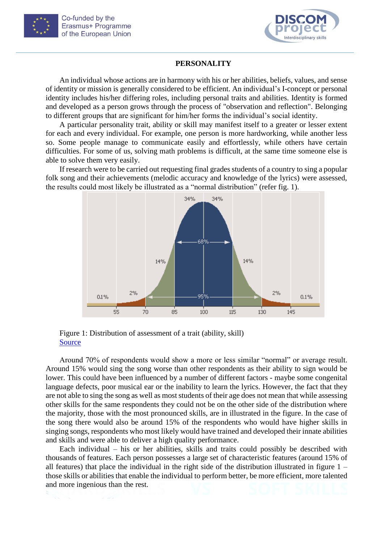



# **PERSONALITY**

An individual whose actions are in harmony with his or her abilities, beliefs, values, and sense of identity or mission is generally considered to be efficient. An individual's I-concept or personal identity includes his/her differing roles, including personal traits and abilities. Identity is formed and developed as a person grows through the process of "observation and reflection". Belonging to different groups that are significant for him/her forms the individual's social identity.

A particular personality trait, ability or skill may manifest itself to a greater or lesser extent for each and every individual. For example, one person is more hardworking, while another less so. Some people manage to communicate easily and effortlessly, while others have certain difficulties. For some of us, solving math problems is difficult, at the same time someone else is able to solve them very easily.

If research were to be carried out requesting final grades students of a country to sing a popular folk song and their achievements (melodic accuracy and knowledge of the lyrics) were assessed, the results could most likely be illustrated as a "normal distribution" (refer fig. 1).



Figure 1: Distribution of assessment of a trait (ability, skill) [Source](https://www.siic.lu.lv/mat/IT/M_11/default.aspx@tabid=17&id=270.html) 

Around 70% of respondents would show a more or less similar "normal" or average result. Around 15% would sing the song worse than other respondents as their ability to sign would be lower. This could have been influenced by a number of different factors - maybe some congenital language defects, poor musical ear or the inability to learn the lyrics. However, the fact that they are not able to sing the song as well as most students of their age does not mean that while assessing other skills for the same respondents they could not be on the other side of the distribution where the majority, those with the most pronounced skills, are in illustrated in the figure. In the case of the song there would also be around 15% of the respondents who would have higher skills in singing songs, respondents who most likely would have trained and developed their innate abilities and skills and were able to deliver a high quality performance.

Each individual – his or her abilities, skills and traits could possibly be described with thousands of features. Each person possesses a large set of characteristic features (around 15% of all features) that place the individual in the right side of the distribution illustrated in figure 1 – those skills or abilities that enable the individual to perform better, be more efficient, more talented and more ingenious than the rest.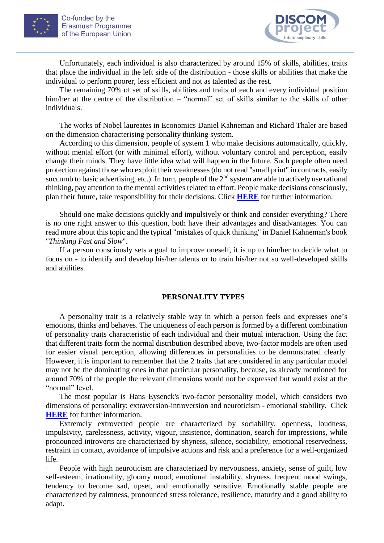



Unfortunately, each individual is also characterized by around 15% of skills, abilities, traits that place the individual in the left side of the distribution - those skills or abilities that make the individual to perform poorer, less efficient and not as talented as the rest.

The remaining 70% of set of skills, abilities and traits of each and every individual position him/her at the centre of the distribution – "normal" set of skills similar to the skills of other individuals.

The works of Nobel laureates in Economics Daniel Kahneman and Richard Thaler are based on the dimension characterising personality thinking system.

According to this dimension, people of system 1 who make decisions automatically, quickly, without mental effort (or with minimal effort), without voluntary control and perception, easily change their minds. They have little idea what will happen in the future. Such people often need protection against those who exploit their weaknesses (do not read "small print" in contracts, easily succumb to basic advertising, etc.). In turn, people of the  $2<sup>nd</sup>$  system are able to actively use rational thinking, pay attention to the mental activities related to effort. People make decisions consciously, plan their future, take responsibility for their decisions. Click **[HERE](https://www.scientificamerican.com/article/kahneman-excerpt-thinking-fast-and-slow/)** for further information.

Should one make decisions quickly and impulsively or think and consider everything? There is no one right answer to this question, both have their advantages and disadvantages. You can read more about this topic and the typical "mistakes of quick thinking" in Daniel Kahneman's book "*Thinking Fast and Slow*".

If a person consciously sets a goal to improve oneself, it is up to him/her to decide what to focus on - to identify and develop his/her talents or to train his/her not so well-developed skills and abilities.

# **PERSONALITY TYPES**

A personality trait is a relatively stable way in which a person feels and expresses one's emotions, thinks and behaves. The uniqueness of each person is formed by a different combination of personality traits characteristic of each individual and their mutual interaction. Using the fact that different traits form the normal distribution described above, two-factor models are often used for easier visual perception, allowing differences in personalities to be demonstrated clearly. However, it is important to remember that the 2 traits that are considered in any particular model may not be the dominating ones in that particular personality, because, as already mentioned for around 70% of the people the relevant dimensions would not be expressed but would exist at the "normal" level.

The most popular is Hans Eysenck's two-factor personality model, which considers two dimensions of personality: extraversion-introversion and neuroticism - emotional stability. Click **[HERE](https://en.wikipedia.org/wiki/Four_temperaments)** for further information.

Extremely extroverted people are characterized by sociability, openness, loudness, impulsivity, carelessness, activity, vigour, insistence, domination, search for impressions, while pronounced introverts are characterized by shyness, silence, sociability, emotional reservedness, restraint in contact, avoidance of impulsive actions and risk and a preference for a well-organized life.

People with high neuroticism are characterized by nervousness, anxiety, sense of guilt, low self-esteem, irrationality, gloomy mood, emotional instability, shyness, frequent mood swings, tendency to become sad, upset, and emotionally sensitive. Emotionally stable people are characterized by calmness, pronounced stress tolerance, resilience, maturity and a good ability to adapt.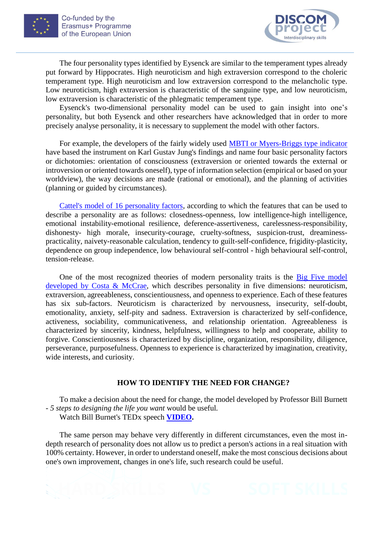



The four personality types identified by Eysenck are similar to the temperament types already put forward by Hippocrates. High neuroticism and high extraversion correspond to the choleric temperament type. High neuroticism and low extraversion correspond to the melancholic type. Low neuroticism, high extraversion is characteristic of the sanguine type, and low neuroticism, low extraversion is characteristic of the phlegmatic temperament type.

Eysenck's two-dimensional personality model can be used to gain insight into one's personality, but both Eysenck and other researchers have acknowledged that in order to more precisely analyse personality, it is necessary to supplement the model with other factors.

For example, the developers of the fairly widely used **MBTI** or Myers-Briggs type indicator have based the instrument on Karl Gustav Jung's findings and name four basic personality factors or dichotomies: orientation of consciousness (extraversion or oriented towards the external or introversion or oriented towards oneself), type of information selection (empirical or based on your worldview), the way decisions are made (rational or emotional), and the planning of activities (planning or guided by circumstances).

[Cattel's model of 16 personality factors,](https://www.dandebat.dk/eng-person3.htm) according to which the features that can be used to describe a personality are as follows: closedness-openness, low intelligence-high intelligence, emotional instability-emotional resilience, deference-assertiveness, carelessness-responsibility, dishonesty- high morale, insecurity-courage, cruelty-softness, suspicion-trust, dreaminesspracticality, naivety-reasonable calculation, tendency to guilt-self-confidence, frigidity-plasticity, dependence on group independence, low behavioural self-control - high behavioural self-control, tension-release.

One of the most recognized theories of modern personality traits is the **Big Five model** [developed by Costa & McCrae,](https://www.mentalhelp.net/psychological-testing/big-five-personality-traits/) which describes personality in five dimensions: neuroticism, extraversion, agreeableness, conscientiousness, and openness to experience. Each of these features has six sub-factors. Neuroticism is characterized by nervousness, insecurity, self-doubt, emotionality, anxiety, self-pity and sadness. Extraversion is characterized by self-confidence, activeness, sociability, communicativeness, and relationship orientation. Agreeableness is characterized by sincerity, kindness, helpfulness, willingness to help and cooperate, ability to forgive. Conscientiousness is characterized by discipline, organization, responsibility, diligence, perseverance, purposefulness. Openness to experience is characterized by imagination, creativity, wide interests, and curiosity.

# **HOW TO IDENTIFY THE NEED FOR CHANGE?**

To make a decision about the need for change, the model developed by Professor Bill Burnett - *5 steps to designing the life you want* would be useful*.* 

Watch Bill Burnet's TEDx speech **[VIDEO.](https://www.youtube.com/watch?v=SemHh0n19LA)**

The same person may behave very differently in different circumstances, even the most indepth research of personality does not allow us to predict a person's actions in a real situation with 100% certainty. However, in order to understand oneself, make the most conscious decisions about one's own improvement, changes in one's life, such research could be useful.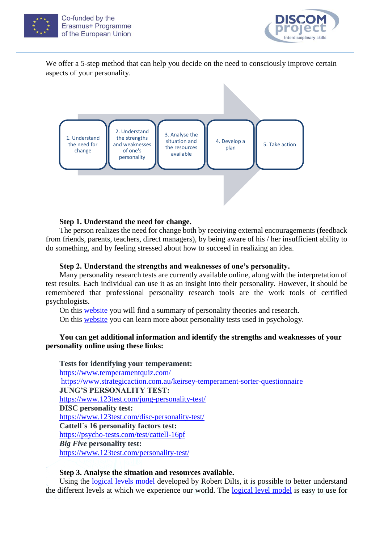



We offer a 5-step method that can help you decide on the need to consciously improve certain aspects of your personality.



#### **Step 1. Understand the need for change.**

The person realizes the need for change both by receiving external encouragements (feedback from friends, parents, teachers, direct managers), by being aware of his / her insufficient ability to do something, and by feeling stressed about how to succeed in realizing an idea.

#### **Step 2. Understand the strengths and weaknesses of one's personality.**

Many personality research tests are currently available online, along with the interpretation of test results. Each individual can use it as an insight into their personality. However, it should be remembered that professional personality research tools are the work tools of certified psychologists.

On this [website](https://personality-project.org/) you will find a summary of personality theories and research.

On this [website](https://www.mentalhelp.net/psychological-testing/big-five-personality-traits/) you can learn more about personality tests used in psychology.

# **You can get additional information and identify the strengths and weaknesses of your personality online using these links:**

**Tests for identifying your temperament:** <https://www.temperamentquiz.com/> <https://www.strategicaction.com.au/keirsey-temperament-sorter-questionnaire> **JUNG'S PERSONALITY TEST:** <https://www.123test.com/jung-personality-test/> **DISC personality test:** <https://www.123test.com/disc-personality-test/> **Cattell`s 16 personality factors test:** <https://psycho-tests.com/test/cattell-16pf> *Big Five* **personality test:** <https://www.123test.com/personality-test/>

# **Step 3. Analyse the situation and resources available.**

Using the [logical levels model](https://www.skillsyouneed.com/lead/logical-levels.html) developed by Robert Dilts, it is possible to better understand the different levels at which we experience our world. The [logical level model](http://agile-space.com/en/agile-dilts-pyramid-changes/) is easy to use for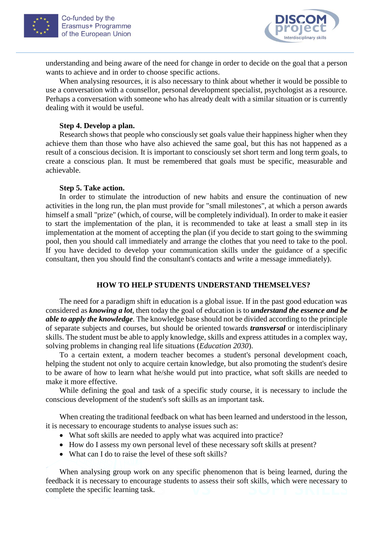



understanding and being aware of the need for change in order to decide on the goal that a person wants to achieve and in order to choose specific actions.

When analysing resources, it is also necessary to think about whether it would be possible to use a conversation with a counsellor, personal development specialist, psychologist as a resource. Perhaps a conversation with someone who has already dealt with a similar situation or is currently dealing with it would be useful.

# **Step 4. Develop a plan.**

Research shows that people who consciously set goals value their happiness higher when they achieve them than those who have also achieved the same goal, but this has not happened as a result of a conscious decision. It is important to consciously set short term and long term goals, to create a conscious plan. It must be remembered that goals must be specific, measurable and achievable.

# **Step 5. Take action.**

In order to stimulate the introduction of new habits and ensure the continuation of new activities in the long run, the plan must provide for "small milestones", at which a person awards himself a small "prize" (which, of course, will be completely individual). In order to make it easier to start the implementation of the plan, it is recommended to take at least a small step in its implementation at the moment of accepting the plan (if you decide to start going to the swimming pool, then you should call immediately and arrange the clothes that you need to take to the pool. If you have decided to develop your communication skills under the guidance of a specific consultant, then you should find the consultant's contacts and write a message immediately).

# **HOW TO HELP STUDENTS UNDERSTAND THEMSELVES?**

The need for a paradigm shift in education is a global issue. If in the past good education was considered as *knowing a lot*, then today the goal of education is to *understand the essence and be able to apply the knowledge*. The knowledge base should not be divided according to the principle of separate subjects and courses, but should be oriented towards *transversal* or interdisciplinary skills. The student must be able to apply knowledge, skills and express attitudes in a complex way, solving problems in changing real life situations (*Education 2030*).

To a certain extent, a modern teacher becomes a student's personal development coach, helping the student not only to acquire certain knowledge, but also promoting the student's desire to be aware of how to learn what he/she would put into practice, what soft skills are needed to make it more effective.

While defining the goal and task of a specific study course, it is necessary to include the conscious development of the student's soft skills as an important task.

When creating the traditional feedback on what has been learned and understood in the lesson, it is necessary to encourage students to analyse issues such as:

- What soft skills are needed to apply what was acquired into practice?
- How do I assess my own personal level of these necessary soft skills at present?
- What can I do to raise the level of these soft skills?

When analysing group work on any specific phenomenon that is being learned, during the feedback it is necessary to encourage students to assess their soft skills, which were necessary to complete the specific learning task.